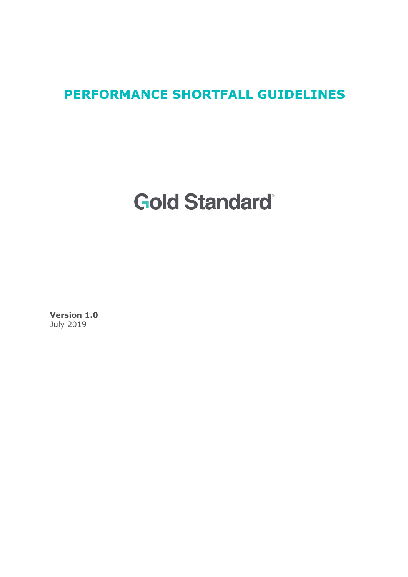# **PERFORMANCE SHORTFALL GUIDELINES**

# **Gold Standard**

**Version 1.0**  July 2019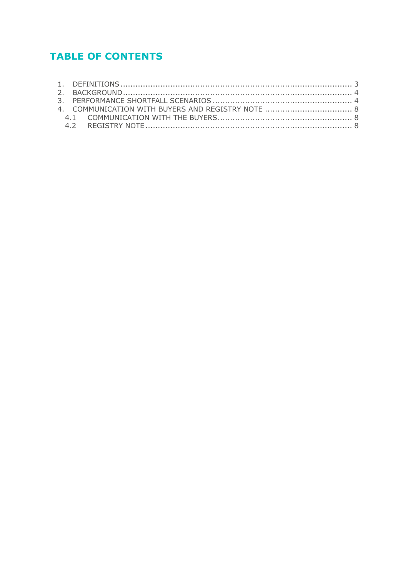# **TABLE OF CONTENTS**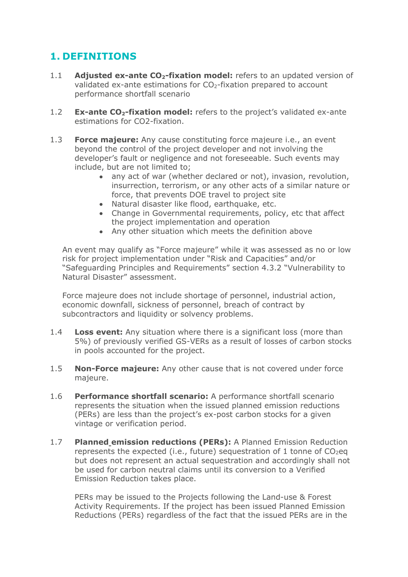## **1. DEFINITIONS**

- 1.1 **Adjusted ex-ante CO<sub>2</sub>-fixation model:** refers to an updated version of validated ex-ante estimations for  $CO<sub>2</sub>$ -fixation prepared to account performance shortfall scenario
- 1.2 **Ex-ante CO<sub>2</sub>-fixation model:** refers to the project's validated ex-ante estimations for CO2-fixation.
- 1.3 **Force majeure:** Any cause constituting force majeure i.e., an event beyond the control of the project developer and not involving the developer's fault or negligence and not foreseeable. Such events may include, but are not limited to;
	- any act of war (whether declared or not), invasion, revolution, insurrection, terrorism, or any other acts of a similar nature or force, that prevents DOE travel to project site
	- Natural disaster like flood, earthquake, etc.
	- Change in Governmental requirements, policy, etc that affect the project implementation and operation
	- Any other situation which meets the definition above

An event may qualify as "Force majeure" while it was assessed as no or low risk for project implementation under "Risk and Capacities" and/or "Safeguarding Principles and Requirements" section 4.3.2 "Vulnerability to Natural Disaster" assessment.

Force majeure does not include shortage of personnel, industrial action, economic downfall, sickness of personnel, breach of contract by subcontractors and liquidity or solvency problems.

- 1.4 **Loss event:** Any situation where there is a significant loss (more than 5%) of previously verified GS-VERs as a result of losses of carbon stocks in pools accounted for the project.
- 1.5 **Non-Force majeure:** Any other cause that is not covered under force majeure.
- 1.6 **Performance shortfall scenario:** A performance shortfall scenario represents the situation when the issued planned emission reductions (PERs) are less than the project's ex-post carbon stocks for a given vintage or verification period.
- 1.7 **Planned emission reductions (PERs):** A Planned Emission Reduction represents the expected (i.e., future) sequestration of 1 tonne of  $CO<sub>2</sub>$ eq but does not represent an actual sequestration and accordingly shall not be used for carbon neutral claims until its conversion to a Verified Emission Reduction takes place.

PERs may be issued to the Projects following the Land-use & Forest Activity Requirements. If the project has been issued Planned Emission Reductions (PERs) regardless of the fact that the issued PERs are in the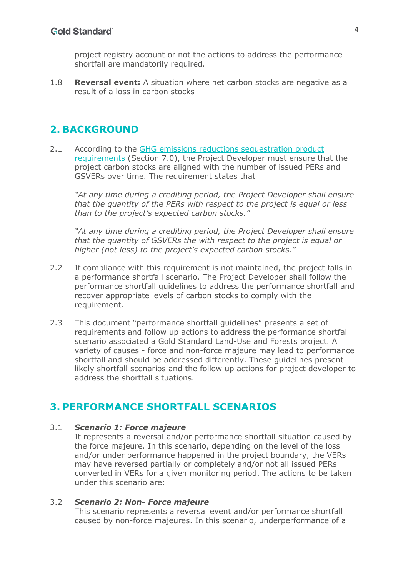project registry account or not the actions to address the performance shortfall are mandatorily required.

1.8 **Reversal event:** A situation where net carbon stocks are negative as a result of a loss in carbon stocks

## **2. BACKGROUND**

2.1 According to the GHG emissions reductions sequestration product requirements (Section 7.0), the Project Developer must ensure that the project carbon stocks are aligned with the number of issued PERs and GSVERs over time. The requirement states that

*"At any time during a crediting period, the Project Developer shall ensure that the quantity of the PERs with respect to the project is equal or less than to the project's expected carbon stocks."* 

*"At any time during a crediting period, the Project Developer shall ensure that the quantity of GSVERs the with respect to the project is equal or higher (not less) to the project's expected carbon stocks."*

- 2.2 If compliance with this requirement is not maintained, the project falls in a performance shortfall scenario. The Project Developer shall follow the performance shortfall guidelines to address the performance shortfall and recover appropriate levels of carbon stocks to comply with the requirement.
- 2.3 This document "performance shortfall guidelines" presents a set of requirements and follow up actions to address the performance shortfall scenario associated a Gold Standard Land-Use and Forests project. A variety of causes - force and non-force majeure may lead to performance shortfall and should be addressed differently. These guidelines present likely shortfall scenarios and the follow up actions for project developer to address the shortfall situations.

## **3. PERFORMANCE SHORTFALL SCENARIOS**

#### 3.1 *Scenario 1: Force majeure*

It represents a reversal and/or performance shortfall situation caused by the force majeure. In this scenario, depending on the level of the loss and/or under performance happened in the project boundary, the VERs may have reversed partially or completely and/or not all issued PERs converted in VERs for a given monitoring period. The actions to be taken under this scenario are:

#### 3.2 *Scenario 2: Non- Force majeure*

This scenario represents a reversal event and/or performance shortfall caused by non-force majeures. In this scenario, underperformance of a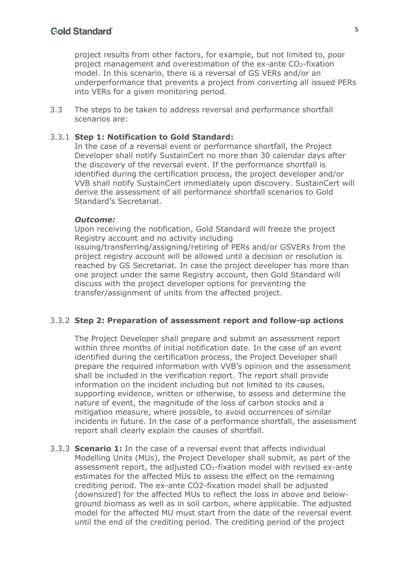project results from other factors, for example, but not limited to, poor project management and overestimation of the ex-ante  $CO<sub>2</sub>$ -fixation model. In this scenario, there is a reversal of GS VERs and/or an underperformance that prevents a project from converting all issued PERs into VERs for a given monitoring period.

3.3 The steps to be taken to address reversal and performance shortfall scenarios are:

#### 3.3.1 **Step 1: Notification to Gold Standard:**

In the case of a reversal event or performance shortfall, the Project Developer shall notify SustainCert no more than 30 calendar days after the discovery of the reversal event. If the performance shortfall is identified during the certification process, the project developer and/or VVB shall notify SustainCert immediately upon discovery. SustainCert will derive the assessment of all performance shortfall scenarios to Gold Standard's Secretariat.

#### *Outcome:*

Upon receiving the notification, Gold Standard will freeze the project Registry account and no activity including issuing/transferring/assigning/retiring of PERs and/or GSVERs from the

project registry account will be allowed until a decision or resolution is reached by GS Secretariat. In case the project developer has more than one project under the same Registry account, then Gold Standard will discuss with the project developer options for preventing the transfer/assignment of units from the affected project.

#### 3.3.2 **Step 2: Preparation of assessment report and follow-up actions**

The Project Developer shall prepare and submit an assessment report within three months of initial notification date. In the case of an event identified during the certification process, the Project Developer shall prepare the required information with VVB's opinion and the assessment shall be included in the verification report. The report shall provide information on the incident including but not limited to its causes, supporting evidence, written or otherwise, to assess and determine the nature of event, the magnitude of the loss of carbon stocks and a mitigation measure, where possible, to avoid occurrences of similar incidents in future. In the case of a performance shortfall, the assessment report shall clearly explain the causes of shortfall.

3.3.3 **Scenario 1:** In the case of a reversal event that affects individual Modelling Units (MUs), the Project Developer shall submit, as part of the assessment report, the adjusted  $CO<sub>2</sub>$ -fixation model with revised ex-ante estimates for the affected MUs to assess the effect on the remaining crediting period. The ex-ante CO2-fixation model shall be adjusted (downsized) for the affected MUs to reflect the loss in above and belowground biomass as well as in soil carbon, where applicable. The adjusted model for the affected MU must start from the date of the reversal event until the end of the crediting period. The crediting period of the project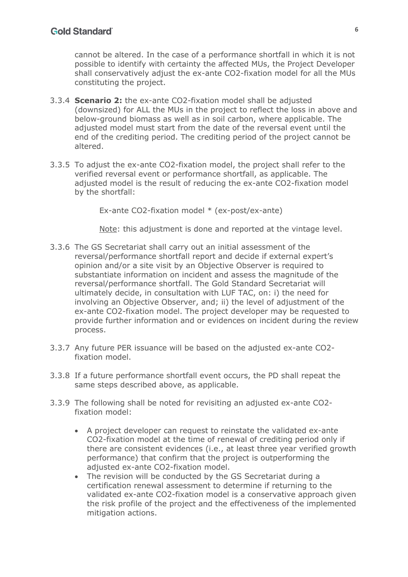cannot be altered. In the case of a performance shortfall in which it is not possible to identify with certainty the affected MUs, the Project Developer shall conservatively adjust the ex-ante CO2-fixation model for all the MUs constituting the project.

- 3.3.4 **Scenario 2:** the ex-ante CO2-fixation model shall be adjusted (downsized) for ALL the MUs in the project to reflect the loss in above and below-ground biomass as well as in soil carbon, where applicable. The adjusted model must start from the date of the reversal event until the end of the crediting period. The crediting period of the project cannot be altered.
- 3.3.5 To adjust the ex-ante CO2-fixation model, the project shall refer to the verified reversal event or performance shortfall, as applicable. The adjusted model is the result of reducing the ex-ante CO2-fixation model by the shortfall:

Ex-ante CO2-fixation model \* (ex-post/ex-ante)

Note: this adjustment is done and reported at the vintage level.

- 3.3.6 The GS Secretariat shall carry out an initial assessment of the reversal/performance shortfall report and decide if external expert's opinion and/or a site visit by an Objective Observer is required to substantiate information on incident and assess the magnitude of the reversal/performance shortfall. The Gold Standard Secretariat will ultimately decide, in consultation with LUF TAC, on: i) the need for involving an Objective Observer, and; ii) the level of adjustment of the ex-ante CO2-fixation model. The project developer may be requested to provide further information and or evidences on incident during the review process.
- 3.3.7 Any future PER issuance will be based on the adjusted ex-ante CO2 fixation model.
- 3.3.8 If a future performance shortfall event occurs, the PD shall repeat the same steps described above, as applicable.
- 3.3.9 The following shall be noted for revisiting an adjusted ex-ante CO2 fixation model:
	- A project developer can request to reinstate the validated ex-ante CO2-fixation model at the time of renewal of crediting period only if there are consistent evidences (i.e., at least three year verified growth performance) that confirm that the project is outperforming the adjusted ex-ante CO2-fixation model.
	- The revision will be conducted by the GS Secretariat during a certification renewal assessment to determine if returning to the validated ex-ante CO2-fixation model is a conservative approach given the risk profile of the project and the effectiveness of the implemented mitigation actions.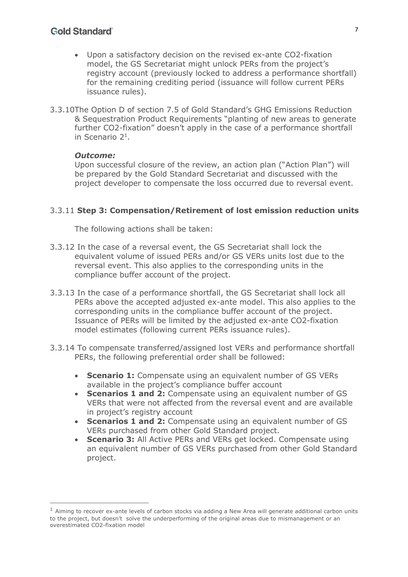### **Gold Standard**

- Upon a satisfactory decision on the revised ex-ante CO2-fixation model, the GS Secretariat might unlock PERs from the project's registry account (previously locked to address a performance shortfall) for the remaining crediting period (issuance will follow current PERs issuance rules).
- 3.3.10The Option D of section 7.5 of Gold Standard's GHG Emissions Reduction & Sequestration Product Requirements "planting of new areas to generate further CO2-fixation" doesn't apply in the case of a performance shortfall in Scenario 21.

#### *Outcome:*

Upon successful closure of the review, an action plan ("Action Plan") will be prepared by the Gold Standard Secretariat and discussed with the project developer to compensate the loss occurred due to reversal event.

#### 3.3.11 **Step 3: Compensation/Retirement of lost emission reduction units**

The following actions shall be taken:

- 3.3.12 In the case of a reversal event, the GS Secretariat shall lock the equivalent volume of issued PERs and/or GS VERs units lost due to the reversal event. This also applies to the corresponding units in the compliance buffer account of the project.
- 3.3.13 In the case of a performance shortfall, the GS Secretariat shall lock all PERs above the accepted adjusted ex-ante model. This also applies to the corresponding units in the compliance buffer account of the project. Issuance of PERs will be limited by the adjusted ex-ante CO2-fixation model estimates (following current PERs issuance rules).
- 3.3.14 To compensate transferred/assigned lost VERs and performance shortfall PERs, the following preferential order shall be followed:
	- **Scenario 1:** Compensate using an equivalent number of GS VERs available in the project's compliance buffer account
	- **Scenarios 1 and 2:** Compensate using an equivalent number of GS VERs that were not affected from the reversal event and are available in project's registry account
	- **Scenarios 1 and 2:** Compensate using an equivalent number of GS VERs purchased from other Gold Standard project.
	- **Scenario 3:** All Active PERs and VERs get locked. Compensate using an equivalent number of GS VERs purchased from other Gold Standard project.

 $<sup>1</sup>$  Aiming to recover ex-ante levels of carbon stocks via adding a New Area will generate additional carbon units</sup> to the project, but doesn't solve the underperforming of the original areas due to mismanagement or an overestimated CO2-fixation model